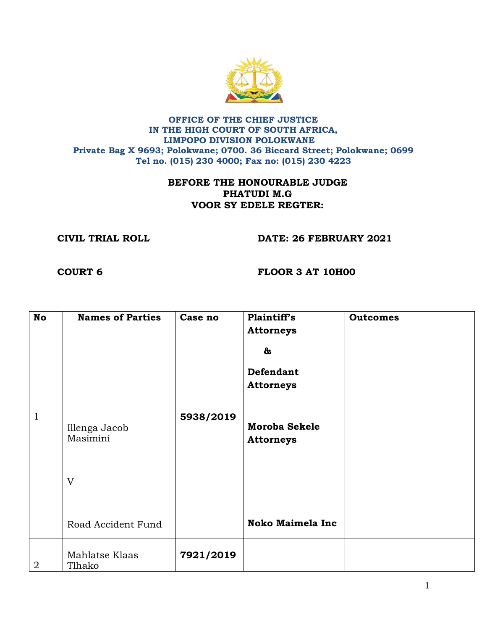

## **OFFICE OF THE CHIEF JUSTICE IN THE HIGH COURT OF SOUTH AFRICA, LIMPOPO DIVISION POLOKWANE Private Bag X 9693; Polokwane; 0700. 36 Biccard Street; Polokwane; 0699 Tel no. (015) 230 4000; Fax no: (015) 230 4223**

## **BEFORE THE HONOURABLE JUDGE PHATUDI M.G VOOR SY EDELE REGTER:**

**CIVIL TRIAL ROLL DATE: 26 FEBRUARY 2021**

**COURT 6 FLOOR 3 AT 10H00**

| <b>No</b>      | <b>Names of Parties</b>   | Case no   | Plaintiff's<br><b>Attorneys</b><br>&<br><b>Defendant</b><br><b>Attorneys</b> | <b>Outcomes</b> |
|----------------|---------------------------|-----------|------------------------------------------------------------------------------|-----------------|
|                |                           |           |                                                                              |                 |
| 1              | Illenga Jacob<br>Masimini | 5938/2019 | <b>Moroba Sekele</b><br><b>Attorneys</b>                                     |                 |
|                | $\mathbf{V}$              |           |                                                                              |                 |
|                | Road Accident Fund        |           | <b>Noko Maimela Inc</b>                                                      |                 |
| $\overline{2}$ | Mahlatse Klaas<br>Tlhako  | 7921/2019 |                                                                              |                 |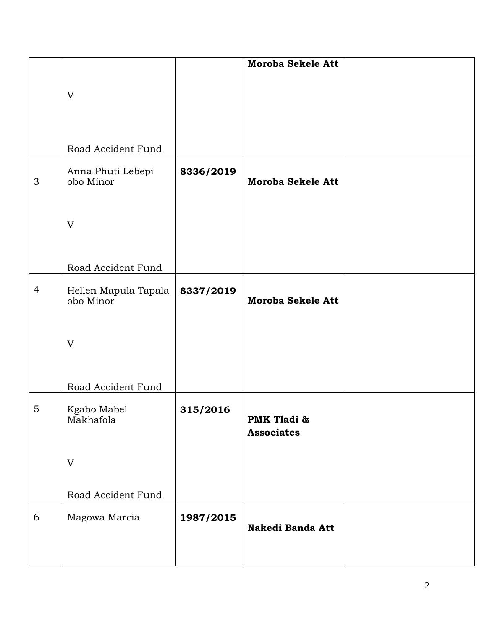|                |                                   |           | Moroba Sekele Att        |  |
|----------------|-----------------------------------|-----------|--------------------------|--|
|                |                                   |           |                          |  |
|                |                                   |           |                          |  |
|                | V                                 |           |                          |  |
|                |                                   |           |                          |  |
|                |                                   |           |                          |  |
|                |                                   |           |                          |  |
|                |                                   |           |                          |  |
|                | Road Accident Fund                |           |                          |  |
|                |                                   |           |                          |  |
| $\mathfrak{S}$ | Anna Phuti Lebepi<br>obo Minor    | 8336/2019 | <b>Moroba Sekele Att</b> |  |
|                |                                   |           |                          |  |
|                |                                   |           |                          |  |
|                |                                   |           |                          |  |
|                | V                                 |           |                          |  |
|                |                                   |           |                          |  |
|                |                                   |           |                          |  |
|                |                                   |           |                          |  |
|                | Road Accident Fund                |           |                          |  |
|                |                                   |           |                          |  |
| $\overline{4}$ | Hellen Mapula Tapala<br>obo Minor | 8337/2019 | Moroba Sekele Att        |  |
|                |                                   |           |                          |  |
|                |                                   |           |                          |  |
|                |                                   |           |                          |  |
|                | V                                 |           |                          |  |
|                |                                   |           |                          |  |
|                |                                   |           |                          |  |
|                |                                   |           |                          |  |
|                | Road Accident Fund                |           |                          |  |
|                |                                   |           |                          |  |
| 5              | Kgabo Mabel                       | 315/2016  |                          |  |
|                | Makhafola                         |           | PMK Tladi &              |  |
|                |                                   |           | <b>Associates</b>        |  |
|                |                                   |           |                          |  |
|                | V                                 |           |                          |  |
|                |                                   |           |                          |  |
|                |                                   |           |                          |  |
|                | Road Accident Fund                |           |                          |  |
|                |                                   |           |                          |  |
| 6              | Magowa Marcia                     | 1987/2015 |                          |  |
|                |                                   |           | Nakedi Banda Att         |  |
|                |                                   |           |                          |  |
|                |                                   |           |                          |  |
|                |                                   |           |                          |  |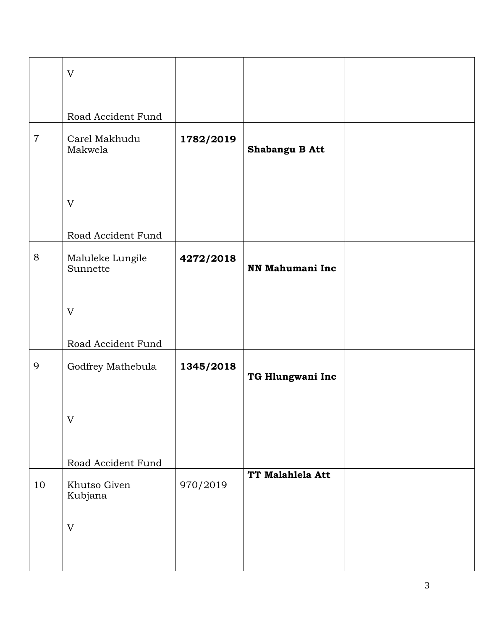|                | $\mathbf V$                  |           |                  |  |
|----------------|------------------------------|-----------|------------------|--|
|                |                              |           |                  |  |
|                |                              |           |                  |  |
|                | Road Accident Fund           |           |                  |  |
| $\overline{7}$ | Carel Makhudu<br>Makwela     | 1782/2019 | Shabangu B Att   |  |
|                |                              |           |                  |  |
|                | $\mathbf V$                  |           |                  |  |
|                | Road Accident Fund           |           |                  |  |
| 8              | Maluleke Lungile<br>Sunnette | 4272/2018 | NN Mahumani Inc  |  |
|                | V                            |           |                  |  |
|                | Road Accident Fund           |           |                  |  |
| 9              | Godfrey Mathebula            | 1345/2018 | TG Hlungwani Inc |  |
|                | $\mathbf V$                  |           |                  |  |
|                | Road Accident Fund           |           |                  |  |
| 10             | Khutso Given<br>Kubjana      | 970/2019  | TT Malahlela Att |  |
|                | $\mathbf V$                  |           |                  |  |
|                |                              |           |                  |  |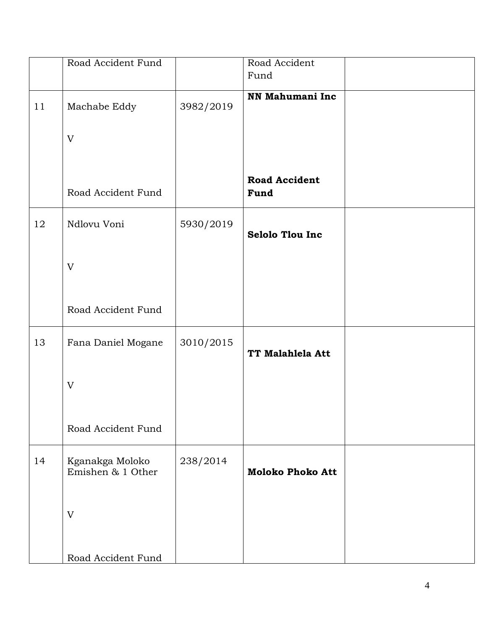|    | Road Accident Fund                   |           | Road Accident<br>Fund        |  |
|----|--------------------------------------|-----------|------------------------------|--|
| 11 | Machabe Eddy                         | 3982/2019 | NN Mahumani Inc              |  |
|    | V                                    |           |                              |  |
|    | Road Accident Fund                   |           | <b>Road Accident</b><br>Fund |  |
| 12 | Ndlovu Voni                          | 5930/2019 | <b>Selolo Tlou Inc</b>       |  |
|    | V                                    |           |                              |  |
|    | Road Accident Fund                   |           |                              |  |
| 13 | Fana Daniel Mogane                   | 3010/2015 | TT Malahlela Att             |  |
|    | V                                    |           |                              |  |
|    | Road Accident Fund                   |           |                              |  |
| 14 | Kganakga Moloko<br>Emishen & 1 Other | 238/2014  | <b>Moloko Phoko Att</b>      |  |
|    | V                                    |           |                              |  |
|    | Road Accident Fund                   |           |                              |  |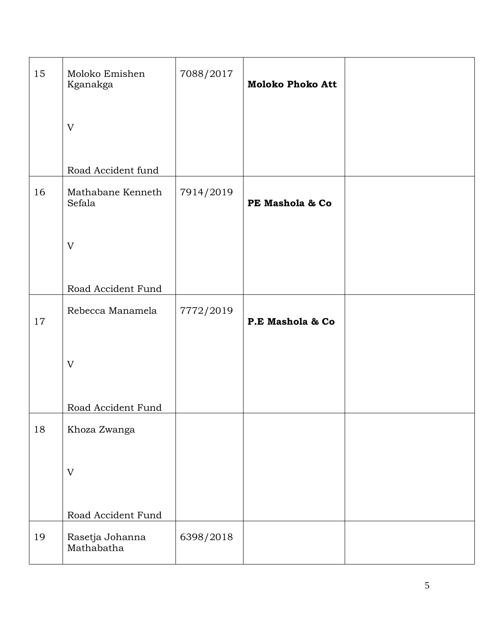| 15     | Moloko Emishen<br>Kganakga    | 7088/2017 | <b>Moloko Phoko Att</b> |  |
|--------|-------------------------------|-----------|-------------------------|--|
|        | V                             |           |                         |  |
|        | Road Accident fund            |           |                         |  |
| 16     | Mathabane Kenneth<br>Sefala   | 7914/2019 | PE Mashola & Co         |  |
|        | $\mathbf V$                   |           |                         |  |
|        | Road Accident Fund            |           |                         |  |
| $17\,$ | Rebecca Manamela              | 7772/2019 | P.E Mashola & Co        |  |
|        | V                             |           |                         |  |
|        | Road Accident Fund            |           |                         |  |
| 18     | Khoza Zwanga                  |           |                         |  |
|        | V                             |           |                         |  |
|        | Road Accident Fund            |           |                         |  |
| 19     | Rasetja Johanna<br>Mathabatha | 6398/2018 |                         |  |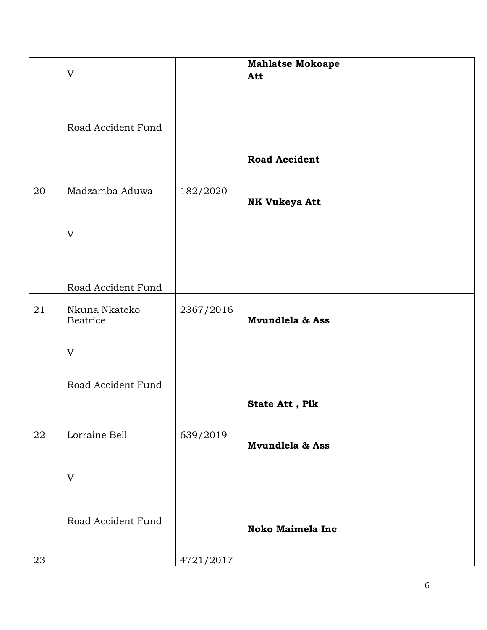|            | $\mathbf V$                                            |           | <b>Mahlatse Mokoape</b><br>Att |  |
|------------|--------------------------------------------------------|-----------|--------------------------------|--|
|            | Road Accident Fund                                     |           |                                |  |
|            |                                                        |           | <b>Road Accident</b>           |  |
| 20         | Madzamba Aduwa                                         | 182/2020  | <b>NK Vukeya Att</b>           |  |
|            | $\mathbf V$                                            |           |                                |  |
|            |                                                        |           |                                |  |
| 21         | Road Accident Fund<br>Nkuna Nkateko<br><b>Beatrice</b> | 2367/2016 | Mvundlela & Ass                |  |
|            | V                                                      |           |                                |  |
|            | Road Accident Fund                                     |           | State Att, Plk                 |  |
| ${\bf 22}$ | Lorraine Bell                                          | 639/2019  | Mvundlela & Ass                |  |
|            | V                                                      |           |                                |  |
|            | Road Accident Fund                                     |           | <b>Noko Maimela Inc</b>        |  |
| 23         |                                                        | 4721/2017 |                                |  |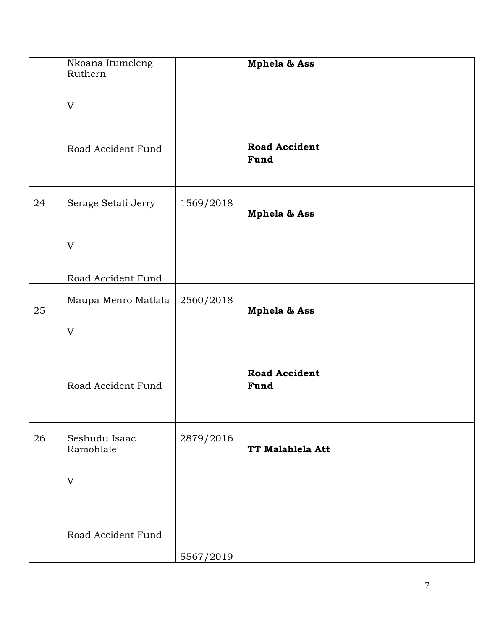|    | Nkoana Itumeleng<br>Ruthern |           | Mphela & Ass                 |  |
|----|-----------------------------|-----------|------------------------------|--|
|    | V                           |           |                              |  |
|    | Road Accident Fund          |           | <b>Road Accident</b><br>Fund |  |
| 24 | Serage Setati Jerry         | 1569/2018 | Mphela & Ass                 |  |
|    | V                           |           |                              |  |
|    | Road Accident Fund          |           |                              |  |
| 25 | Maupa Menro Matlala         | 2560/2018 | Mphela & Ass                 |  |
|    | V                           |           |                              |  |
|    | Road Accident Fund          |           | <b>Road Accident</b><br>Fund |  |
| 26 | Seshudu Isaac<br>Ramohlale  | 2879/2016 | TT Malahlela Att             |  |
|    | V                           |           |                              |  |
|    |                             |           |                              |  |
|    | Road Accident Fund          |           |                              |  |
|    |                             | 5567/2019 |                              |  |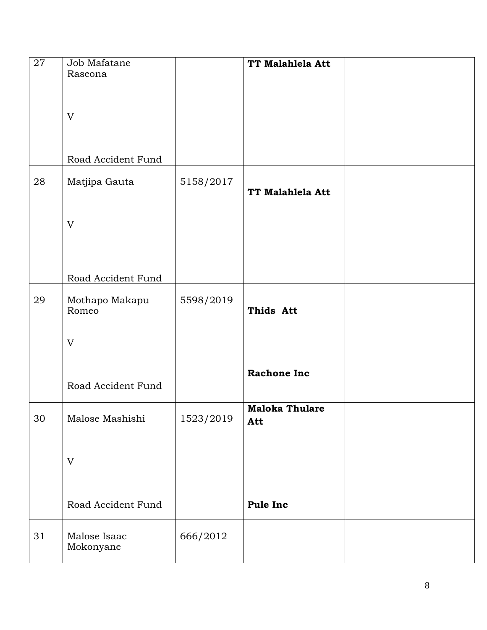| 27 | Job Mafatane<br>Raseona   |           | TT Malahlela Att             |  |
|----|---------------------------|-----------|------------------------------|--|
|    |                           |           |                              |  |
|    | V                         |           |                              |  |
|    |                           |           |                              |  |
|    | Road Accident Fund        |           |                              |  |
| 28 | Matjipa Gauta             | 5158/2017 | TT Malahlela Att             |  |
|    |                           |           |                              |  |
|    | V                         |           |                              |  |
|    |                           |           |                              |  |
|    | Road Accident Fund        |           |                              |  |
| 29 | Mothapo Makapu<br>Romeo   | 5598/2019 | Thids Att                    |  |
|    |                           |           |                              |  |
|    | V                         |           |                              |  |
|    |                           |           | <b>Rachone Inc</b>           |  |
|    | Road Accident Fund        |           |                              |  |
| 30 | Malose Mashishi           | 1523/2019 | <b>Maloka Thulare</b><br>Att |  |
|    |                           |           |                              |  |
|    | V                         |           |                              |  |
|    |                           |           |                              |  |
|    | Road Accident Fund        |           | Pule Inc                     |  |
| 31 | Malose Isaac<br>Mokonyane | 666/2012  |                              |  |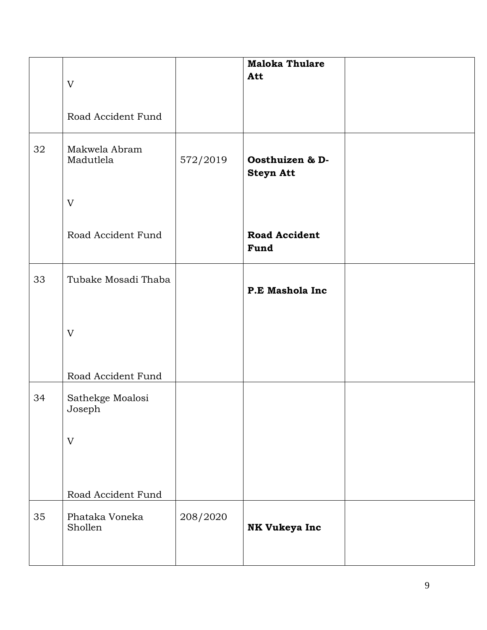|    | V<br>Road Accident Fund                |          | <b>Maloka Thulare</b><br>Att        |  |
|----|----------------------------------------|----------|-------------------------------------|--|
| 32 | Makwela Abram<br>Madutlela             | 572/2019 | Oosthuizen & D-<br><b>Steyn Att</b> |  |
|    | V                                      |          |                                     |  |
|    | Road Accident Fund                     |          | <b>Road Accident</b><br>Fund        |  |
| 33 | Tubake Mosadi Thaba                    |          | P.E Mashola Inc                     |  |
|    | V                                      |          |                                     |  |
| 34 | Road Accident Fund<br>Sathekge Moalosi |          |                                     |  |
|    | Joseph                                 |          |                                     |  |
|    | V                                      |          |                                     |  |
|    |                                        |          |                                     |  |
|    | Road Accident Fund                     |          |                                     |  |
| 35 | Phataka Voneka<br>Shollen              | 208/2020 | NK Vukeya Inc                       |  |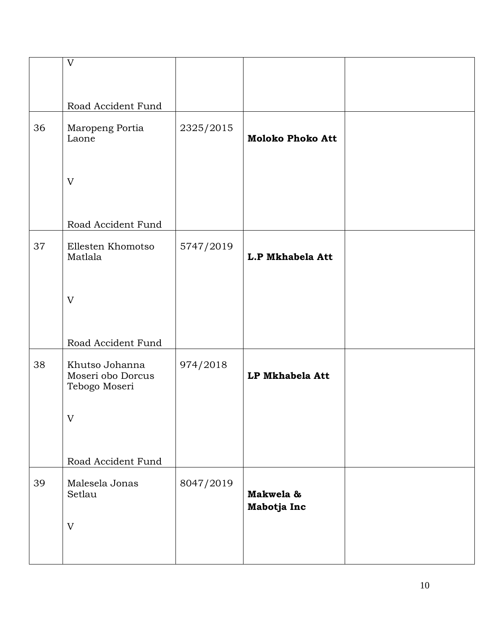|    | $\overline{\mathrm{V}}$                              |           |                          |  |
|----|------------------------------------------------------|-----------|--------------------------|--|
|    | Road Accident Fund                                   |           |                          |  |
| 36 | Maropeng Portia<br>Laone                             | 2325/2015 | <b>Moloko Phoko Att</b>  |  |
|    | V                                                    |           |                          |  |
|    | Road Accident Fund                                   |           |                          |  |
| 37 | Ellesten Khomotso<br>Matlala                         | 5747/2019 | L.P Mkhabela Att         |  |
|    | V                                                    |           |                          |  |
|    | Road Accident Fund                                   |           |                          |  |
| 38 | Khutso Johanna<br>Moseri obo Dorcus<br>Tebogo Moseri | 974/2018  | LP Mkhabela Att          |  |
|    | V                                                    |           |                          |  |
|    | Road Accident Fund                                   |           |                          |  |
| 39 | Malesela Jonas<br>Setlau                             | 8047/2019 | Makwela &<br>Mabotja Inc |  |
|    | V                                                    |           |                          |  |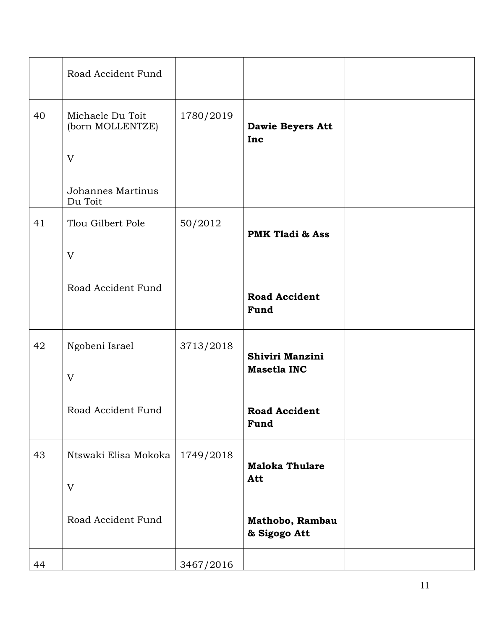|    | Road Accident Fund                        |           |                                       |  |
|----|-------------------------------------------|-----------|---------------------------------------|--|
| 40 | Michaele Du Toit<br>(born MOLLENTZE)<br>V | 1780/2019 | <b>Dawie Beyers Att</b><br>Inc        |  |
|    | Johannes Martinus<br>Du Toit              |           |                                       |  |
| 41 | Tlou Gilbert Pole<br>V                    | 50/2012   | <b>PMK Tladi &amp; Ass</b>            |  |
|    | Road Accident Fund                        |           | <b>Road Accident</b><br>Fund          |  |
| 42 | Ngobeni Israel<br>V                       | 3713/2018 | Shiviri Manzini<br><b>Masetla INC</b> |  |
|    | Road Accident Fund                        |           | <b>Road Accident</b><br>Fund          |  |
| 43 | Ntswaki Elisa Mokoka  <br>V               | 1749/2018 | <b>Maloka Thulare</b><br>Att          |  |
|    | Road Accident Fund                        |           | Mathobo, Rambau<br>& Sigogo Att       |  |
| 44 |                                           | 3467/2016 |                                       |  |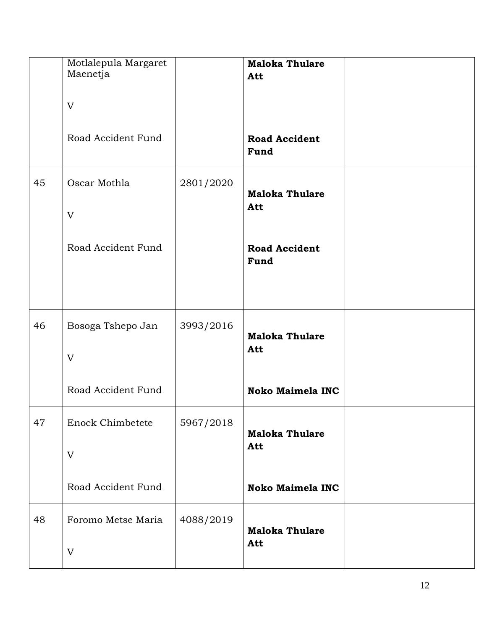|    | Motlalepula Margaret<br>Maenetja |           | <b>Maloka Thulare</b><br>Att |  |
|----|----------------------------------|-----------|------------------------------|--|
|    | V                                |           |                              |  |
|    | Road Accident Fund               |           | <b>Road Accident</b><br>Fund |  |
| 45 | Oscar Mothla<br>V                | 2801/2020 | <b>Maloka Thulare</b><br>Att |  |
|    | Road Accident Fund               |           | <b>Road Accident</b><br>Fund |  |
| 46 | Bosoga Tshepo Jan<br>V           | 3993/2016 | <b>Maloka Thulare</b><br>Att |  |
|    | Road Accident Fund               |           | <b>Noko Maimela INC</b>      |  |
| 47 | <b>Enock Chimbetete</b>          | 5967/2018 | <b>Maloka Thulare</b>        |  |
|    | V                                |           | Att                          |  |
|    | Road Accident Fund               |           | <b>Noko Maimela INC</b>      |  |
| 48 | Foromo Metse Maria<br>V          | 4088/2019 | <b>Maloka Thulare</b><br>Att |  |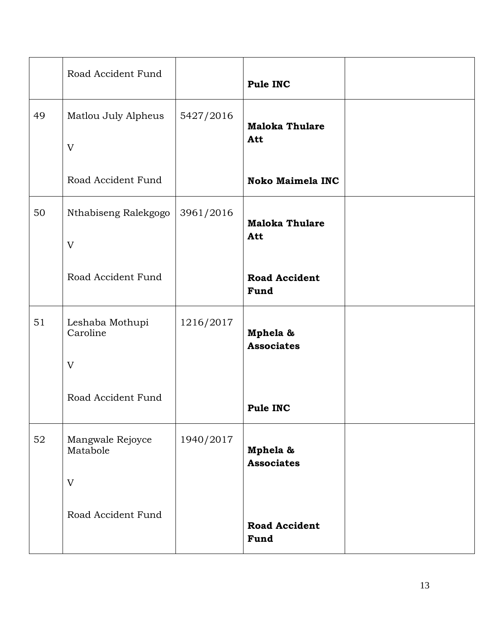|    | Road Accident Fund           |           | Pule INC                      |  |
|----|------------------------------|-----------|-------------------------------|--|
| 49 | Matlou July Alpheus          | 5427/2016 | <b>Maloka Thulare</b>         |  |
|    | V                            |           | Att                           |  |
|    | Road Accident Fund           |           | <b>Noko Maimela INC</b>       |  |
| 50 | Nthabiseng Ralekgogo         | 3961/2016 | <b>Maloka Thulare</b><br>Att  |  |
|    | V                            |           |                               |  |
|    | Road Accident Fund           |           | <b>Road Accident</b><br>Fund  |  |
| 51 | Leshaba Mothupi<br>Caroline  | 1216/2017 | Mphela &<br><b>Associates</b> |  |
|    | $\mathbf V$                  |           |                               |  |
|    | Road Accident Fund           |           | Pule INC                      |  |
| 52 | Mangwale Rejoyce<br>Matabole | 1940/2017 | Mphela &<br><b>Associates</b> |  |
|    | $\overline{V}$               |           |                               |  |
|    | Road Accident Fund           |           | <b>Road Accident</b><br>Fund  |  |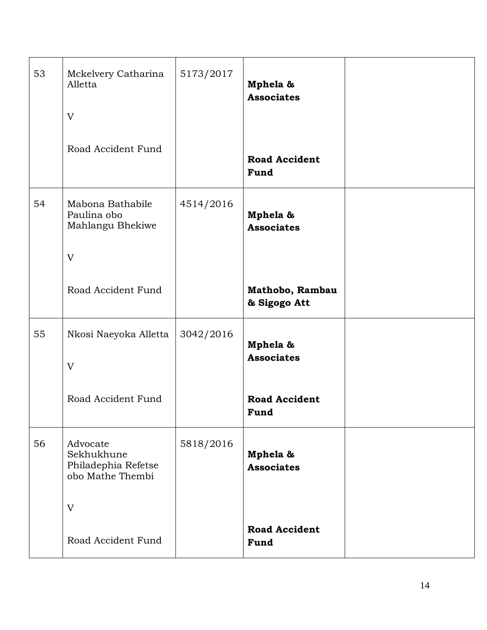| 53 | Mckelvery Catharina<br>Alletta<br>V                               | 5173/2017 | Mphela &<br><b>Associates</b>   |  |
|----|-------------------------------------------------------------------|-----------|---------------------------------|--|
|    | Road Accident Fund                                                |           | <b>Road Accident</b><br>Fund    |  |
| 54 | Mabona Bathabile<br>Paulina obo<br>Mahlangu Bhekiwe               | 4514/2016 | Mphela &<br><b>Associates</b>   |  |
|    | V                                                                 |           |                                 |  |
|    | Road Accident Fund                                                |           | Mathobo, Rambau<br>& Sigogo Att |  |
| 55 | Nkosi Naeyoka Alletta                                             | 3042/2016 | Mphela &<br><b>Associates</b>   |  |
|    | V                                                                 |           |                                 |  |
|    | Road Accident Fund                                                |           | <b>Road Accident</b><br>Fund    |  |
| 56 | Advocate<br>Sekhukhune<br>Philadephia Refetse<br>obo Mathe Thembi | 5818/2016 | Mphela &<br><b>Associates</b>   |  |
|    | V                                                                 |           |                                 |  |
|    | Road Accident Fund                                                |           | <b>Road Accident</b><br>Fund    |  |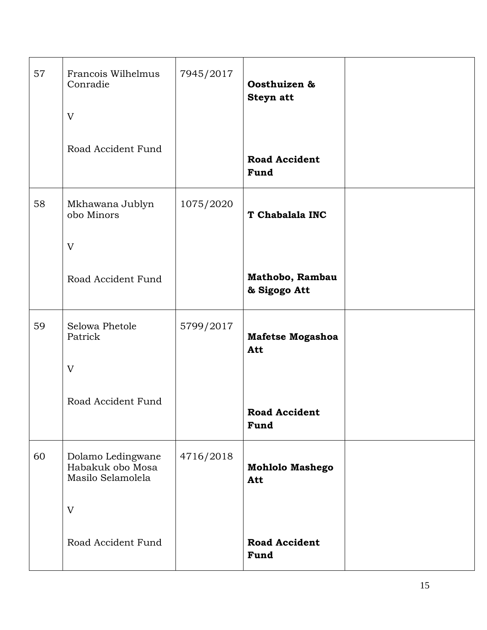| 57 | Francois Wilhelmus<br>Conradie<br>V                        | 7945/2017 | Oosthuizen &<br>Steyn att       |  |
|----|------------------------------------------------------------|-----------|---------------------------------|--|
|    | Road Accident Fund                                         |           | <b>Road Accident</b><br>Fund    |  |
| 58 | Mkhawana Jublyn<br>obo Minors                              | 1075/2020 | T Chabalala INC                 |  |
|    | V                                                          |           |                                 |  |
|    | Road Accident Fund                                         |           | Mathobo, Rambau<br>& Sigogo Att |  |
| 59 | Selowa Phetole<br>Patrick                                  | 5799/2017 | Mafetse Mogashoa<br>Att         |  |
|    | V                                                          |           |                                 |  |
|    | Road Accident Fund                                         |           | <b>Road Accident</b><br>Fund    |  |
| 60 | Dolamo Ledingwane<br>Habakuk obo Mosa<br>Masilo Selamolela | 4716/2018 | <b>Mohlolo Mashego</b><br>Att   |  |
|    | V                                                          |           |                                 |  |
|    | Road Accident Fund                                         |           | <b>Road Accident</b><br>Fund    |  |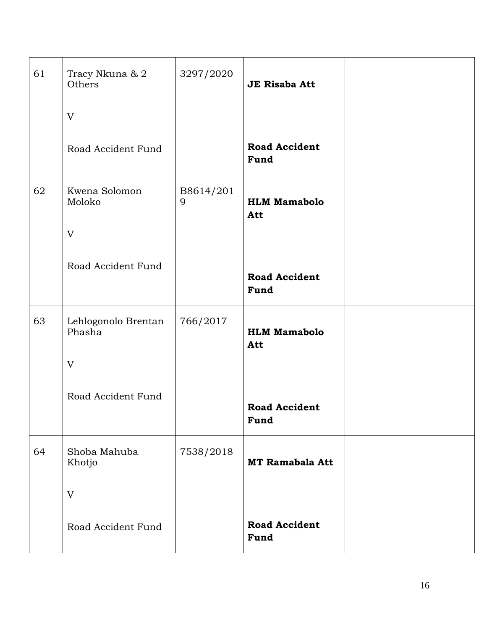| 61 | Tracy Nkuna & 2<br>Others     | 3297/2020      | <b>JE Risaba Att</b>         |  |
|----|-------------------------------|----------------|------------------------------|--|
|    | V                             |                |                              |  |
|    | Road Accident Fund            |                | <b>Road Accident</b><br>Fund |  |
| 62 | Kwena Solomon<br>Moloko       | B8614/201<br>9 | <b>HLM Mamabolo</b><br>Att   |  |
|    | V                             |                |                              |  |
|    | Road Accident Fund            |                | <b>Road Accident</b><br>Fund |  |
| 63 | Lehlogonolo Brentan<br>Phasha | 766/2017       | <b>HLM Mamabolo</b><br>Att   |  |
|    | V                             |                |                              |  |
|    | Road Accident Fund            |                | <b>Road Accident</b><br>Fund |  |
| 64 | Shoba Mahuba<br>Khotjo        | 7538/2018      | <b>MT Ramabala Att</b>       |  |
|    | V                             |                |                              |  |
|    | Road Accident Fund            |                | <b>Road Accident</b><br>Fund |  |